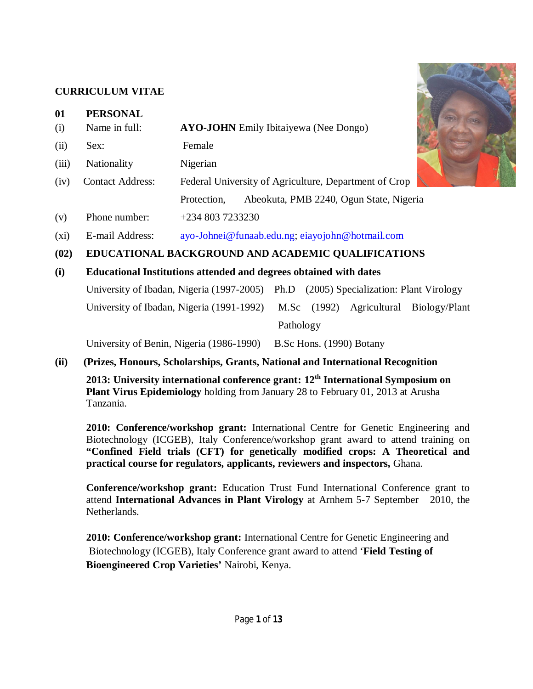# **CURRICULUM VITAE**

|           | <b>CURRICULUM VITAE</b>          |                                                       |  |
|-----------|----------------------------------|-------------------------------------------------------|--|
| 01<br>(i) | <b>PERSONAL</b><br>Name in full: | <b>AYO-JOHN</b> Emily Ibitaiyewa (Nee Dongo)          |  |
| (ii)      | Sex:                             | Female                                                |  |
|           |                                  |                                                       |  |
| (iii)     | Nationality                      | Nigerian                                              |  |
| (iv)      | <b>Contact Address:</b>          | Federal University of Agriculture, Department of Crop |  |

- (v) Phone number: +234 803 7233230
- (xi) E-mail Address: [ayo-Johnei@funaab.edu.ng;](mailto:ayo-Johnei@funaab.edu.ng;) [eiayojohn@hotmail.com](mailto:eiayojohn@hotmail.com)
- **(02) EDUCATIONAL BACKGROUND AND ACADEMIC QUALIFICATIONS**

### **(i) Educational Institutions attended and degrees obtained with dates**

University of Ibadan, Nigeria (1997-2005) Ph.D (2005) Specialization: Plant Virology

University of Ibadan, Nigeria (1991-1992) M.Sc (1992) Agricultural Biology/Plant

Pathology

Protection, Abeokuta, PMB 2240, Ogun State, Nigeria

University of Benin, Nigeria (1986-1990) B.Sc Hons. (1990) Botany

# **(ii) (Prizes, Honours, Scholarships, Grants, National and International Recognition**

**2013: University international conference grant: 12th International Symposium on Plant Virus Epidemiology** holding from January 28 to February 01, 2013 at Arusha Tanzania.

**2010: Conference/workshop grant:** International Centre for Genetic Engineering and Biotechnology (ICGEB), Italy Conference/workshop grant award to attend training on **"Confined Field trials (CFT) for genetically modified crops: A Theoretical and practical course for regulators, applicants, reviewers and inspectors,** Ghana.

**Conference/workshop grant:** Education Trust Fund International Conference grant to attend **International Advances in Plant Virology** at Arnhem 5-7 September 2010, the Netherlands.

**2010: Conference/workshop grant:** International Centre for Genetic Engineering and Biotechnology (ICGEB), Italy Conference grant award to attend '**Field Testing of Bioengineered Crop Varieties'** Nairobi, Kenya.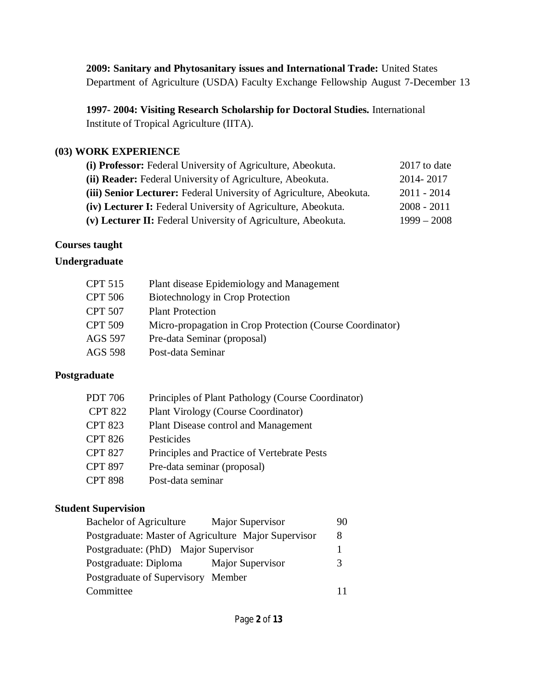**2009: Sanitary and Phytosanitary issues and International Trade:** United States Department of Agriculture (USDA) Faculty Exchange Fellowship August 7-December 13

**1997- 2004: Visiting Research Scholarship for Doctoral Studies.** International Institute of Tropical Agriculture (IITA).

### **(03) WORK EXPERIENCE**

| (i) Professor: Federal University of Agriculture, Abeokuta.         | 2017 to date  |
|---------------------------------------------------------------------|---------------|
| (ii) Reader: Federal University of Agriculture, Abeokuta.           | 2014-2017     |
| (iii) Senior Lecturer: Federal University of Agriculture, Abeokuta. | $2011 - 2014$ |
| (iv) Lecturer I: Federal University of Agriculture, Abeokuta.       | $2008 - 2011$ |
| (v) Lecturer II: Federal University of Agriculture, Abeokuta.       | $1999 - 2008$ |
|                                                                     |               |

### **Courses taught**

# **Undergraduate**

| CPT 515 | Plant disease Epidemiology and Management                 |
|---------|-----------------------------------------------------------|
| CPT 506 | Biotechnology in Crop Protection                          |
| CPT 507 | <b>Plant Protection</b>                                   |
| CPT 509 | Micro-propagation in Crop Protection (Course Coordinator) |
| AGS 597 | Pre-data Seminar (proposal)                               |
| AGS 598 | Post-data Seminar                                         |
|         |                                                           |

# **Postgraduate**

| PDT 706        | Principles of Plant Pathology (Course Coordinator) |
|----------------|----------------------------------------------------|
| <b>CPT 822</b> | <b>Plant Virology (Course Coordinator)</b>         |
| <b>CPT 823</b> | Plant Disease control and Management               |
| <b>CPT 826</b> | Pesticides                                         |
| <b>CPT 827</b> | Principles and Practice of Vertebrate Pests        |
| <b>CPT 897</b> | Pre-data seminar (proposal)                        |
| <b>CPT 898</b> | Post-data seminar                                  |

# **Student Supervision**

| <b>Bachelor of Agriculture</b>                       | Major Supervisor | 90 |
|------------------------------------------------------|------------------|----|
| Postgraduate: Master of Agriculture Major Supervisor |                  | 8  |
| Postgraduate: (PhD) Major Supervisor                 |                  |    |
| Postgraduate: Diploma                                | Major Supervisor |    |
| Postgraduate of Supervisory Member                   |                  |    |
| Committee                                            |                  |    |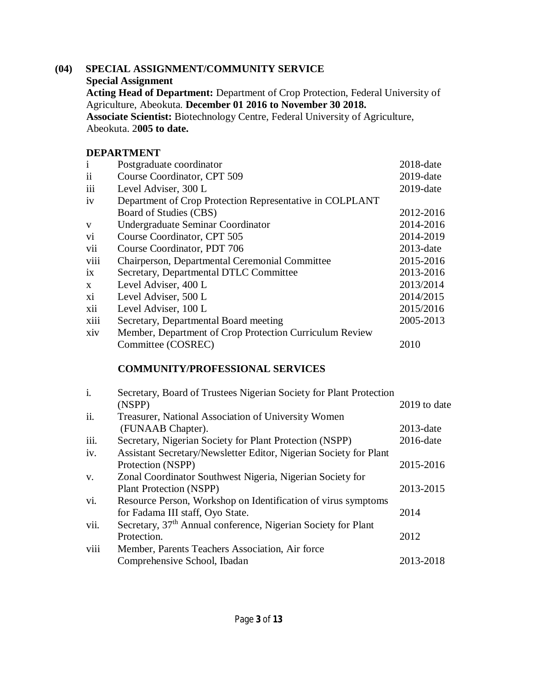#### **(04) SPECIAL ASSIGNMENT/COMMUNITY SERVICE Special Assignment Acting Head of Department:** Department of Crop Protection, Federal University of Agriculture, Abeokuta. **December 01 2016 to November 30 2018. Associate Scientist:** Biotechnology Centre, Federal University of Agriculture, Abeokuta. 2**005 to date.**

#### **DEPARTMENT**

| $\mathbf{i}$ | Postgraduate coordinator                                 | $2018$ -date |
|--------------|----------------------------------------------------------|--------------|
| $\rm ii$     | Course Coordinator, CPT 509                              | $2019$ -date |
| iii          | Level Adviser, 300 L                                     | $2019$ -date |
| iv           | Department of Crop Protection Representative in COLPLANT |              |
|              | Board of Studies (CBS)                                   | 2012-2016    |
| V            | Undergraduate Seminar Coordinator                        | 2014-2016    |
| vi           | Course Coordinator, CPT 505                              | 2014-2019    |
| vii          | Course Coordinator, PDT 706                              | $2013$ -date |
| viii         | Chairperson, Departmental Ceremonial Committee           | 2015-2016    |
| ix           | Secretary, Departmental DTLC Committee                   | 2013-2016    |
| $\mathbf{X}$ | Level Adviser, 400 L                                     | 2013/2014    |
| xi           | Level Adviser, 500 L                                     | 2014/2015    |
| xii          | Level Adviser, 100 L                                     | 2015/2016    |
| xiii         | Secretary, Departmental Board meeting                    | 2005-2013    |
| xiv          | Member, Department of Crop Protection Curriculum Review  |              |
|              | Committee (COSREC)                                       | 2010         |
|              |                                                          |              |

# **COMMUNITY/PROFESSIONAL SERVICES**

| i.   | Secretary, Board of Trustees Nigerian Society for Plant Protection<br>(NSPP) | 2019 to date |
|------|------------------------------------------------------------------------------|--------------|
| ii.  | Treasurer, National Association of University Women                          |              |
|      | (FUNAAB Chapter).                                                            | $2013$ -date |
| iii. | Secretary, Nigerian Society for Plant Protection (NSPP)                      | 2016-date    |
| iv.  | Assistant Secretary/Newsletter Editor, Nigerian Society for Plant            |              |
|      | Protection (NSPP)                                                            | 2015-2016    |
| V.   | Zonal Coordinator Southwest Nigeria, Nigerian Society for                    |              |
|      | <b>Plant Protection (NSPP)</b>                                               | 2013-2015    |
| vi.  | Resource Person, Workshop on Identification of virus symptoms                |              |
|      | for Fadama III staff, Oyo State.                                             | 2014         |
| vii. | Secretary, 37 <sup>th</sup> Annual conference, Nigerian Society for Plant    |              |
|      | Protection.                                                                  | 2012         |
| viii | Member, Parents Teachers Association, Air force                              |              |
|      | Comprehensive School, Ibadan                                                 | 2013-2018    |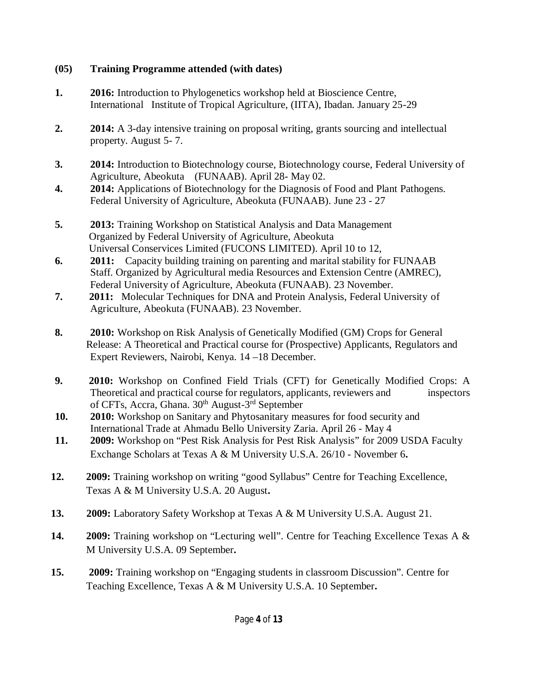# **(05) Training Programme attended (with dates)**

- **1. 2016:** Introduction to Phylogenetics workshop held at Bioscience Centre, International Institute of Tropical Agriculture, (IITA), Ibadan. January 25-29
- **2. 2014:** A 3-day intensive training on proposal writing, grants sourcing and intellectual property. August 5- 7.
- **3. 2014:** Introduction to Biotechnology course, Biotechnology course, Federal University of Agriculture, Abeokuta (FUNAAB). April 28- May 02.
- **4. 2014:** Applications of Biotechnology for the Diagnosis of Food and Plant Pathogens. Federal University of Agriculture, Abeokuta (FUNAAB). June 23 - 27
- **5. 2013:** Training Workshop on Statistical Analysis and Data Management Organized by Federal University of Agriculture, Abeokuta Universal Conservices Limited (FUCONS LIMITED). April 10 to 12,
- **6. 2011:** Capacity building training on parenting and marital stability for FUNAAB Staff. Organized by Agricultural media Resources and Extension Centre (AMREC), Federal University of Agriculture, Abeokuta (FUNAAB). 23 November.
- **7. 2011:** Molecular Techniques for DNA and Protein Analysis, Federal University of Agriculture, Abeokuta (FUNAAB). 23 November.
- **8. 2010:** Workshop on Risk Analysis of Genetically Modified (GM) Crops for General Release: A Theoretical and Practical course for (Prospective) Applicants, Regulators and Expert Reviewers, Nairobi, Kenya. 14 –18 December.
- **9. 2010:** Workshop on Confined Field Trials (CFT) for Genetically Modified Crops: A Theoretical and practical course for regulators, applicants, reviewers and inspectors of CFTs, Accra, Ghana. 30<sup>th</sup> August-3<sup>rd</sup> September
- **10. 2010:** Workshop on Sanitary and Phytosanitary measures for food security and International Trade at Ahmadu Bello University Zaria. April 26 - May 4
- **11. 2009:** Workshop on "Pest Risk Analysis for Pest Risk Analysis" for 2009 USDA Faculty Exchange Scholars at Texas A & M University U.S.A. 26/10 - November 6**.**
- **12. 2009:** Training workshop on writing "good Syllabus" Centre for Teaching Excellence, Texas A & M University U.S.A. 20 August**.**
- **13. 2009:** Laboratory Safety Workshop at Texas A & M University U.S.A. August 21.
- **14. 2009:** Training workshop on "Lecturing well". Centre for Teaching Excellence Texas A & M University U.S.A. 09 September**.**
- **15. 2009:** Training workshop on "Engaging students in classroom Discussion". Centre for Teaching Excellence, Texas A & M University U.S.A. 10 September**.**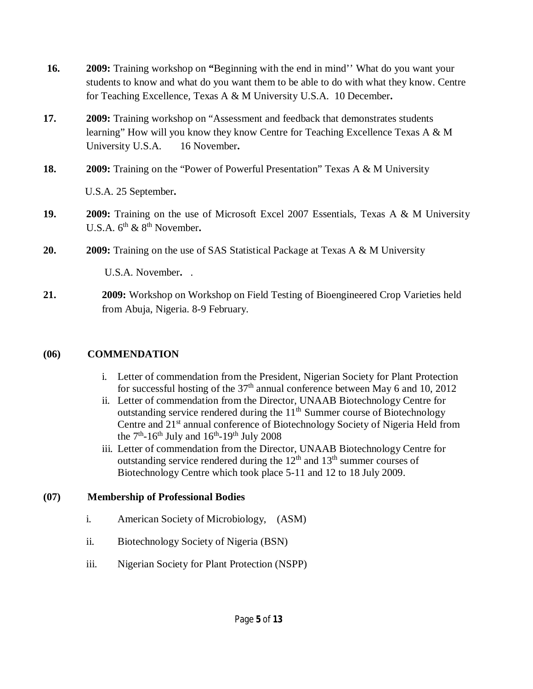| 16. | 2009: Training workshop on "Beginning with the end in mind" What do you want your<br>students to know and what do you want them to be able to do with what they know. Centre<br>for Teaching Excellence, Texas A & M University U.S.A. 10 December. |
|-----|-----------------------------------------------------------------------------------------------------------------------------------------------------------------------------------------------------------------------------------------------------|
| 17. | <b>2009:</b> Training workshop on "Assessment and feedback that demonstrates students"<br>learning" How will you know they know Centre for Teaching Excellence Texas A & M<br>University U.S.A.<br>16 November.                                     |
| 18. | <b>2009:</b> Training on the "Power of Powerful Presentation" Texas A & M University                                                                                                                                                                |
|     | U.S.A. 25 September.                                                                                                                                                                                                                                |
| 19. | <b>2009:</b> Training on the use of Microsoft Excel 2007 Essentials, Texas A & M University<br>U.S.A. $6^{th}$ & $8^{th}$ November.                                                                                                                 |
| 20. | 2009: Training on the use of SAS Statistical Package at Texas A & M University                                                                                                                                                                      |
|     | U.S.A. November. .                                                                                                                                                                                                                                  |
| 21. | <b>2009:</b> Workshop on Workshop on Field Testing of Bioengineered Crop Varieties held                                                                                                                                                             |

#### **(06) COMMENDATION**

- i. Letter of commendation from the President, Nigerian Society for Plant Protection for successful hosting of the  $37<sup>th</sup>$  annual conference between May 6 and 10, 2012
- ii. Letter of commendation from the Director, UNAAB Biotechnology Centre for outstanding service rendered during the  $11<sup>th</sup>$  Summer course of Biotechnology Centre and 21<sup>st</sup> annual conference of Biotechnology Society of Nigeria Held from the  $7<sup>th</sup>$ -16<sup>th</sup> July and 16<sup>th</sup>-19<sup>th</sup> July 2008
- iii. Letter of commendation from the Director, UNAAB Biotechnology Centre for outstanding service rendered during the  $12<sup>th</sup>$  and  $13<sup>th</sup>$  summer courses of Biotechnology Centre which took place 5-11 and 12 to 18 July 2009.

#### **(07) Membership of Professional Bodies**

- i. American Society of Microbiology, (ASM)
- ii. Biotechnology Society of Nigeria (BSN)

from Abuja, Nigeria. 8-9 February.

iii. Nigerian Society for Plant Protection (NSPP)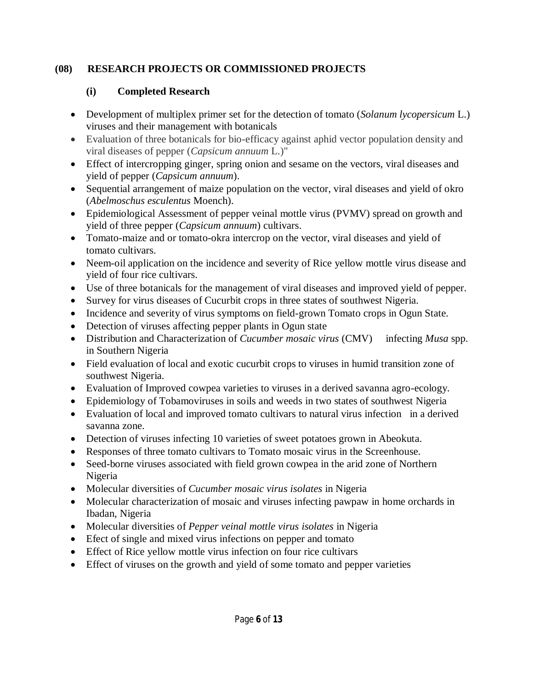# **(08) RESEARCH PROJECTS OR COMMISSIONED PROJECTS**

# **(i) Completed Research**

- Development of multiplex primer set for the detection of tomato (*Solanum lycopersicum* L.) viruses and their management with botanicals
- Evaluation of three botanicals for bio-efficacy against aphid vector population density and viral diseases of pepper (*Capsicum annuum* L.)"
- Effect of intercropping ginger, spring onion and sesame on the vectors, viral diseases and yield of pepper (*Capsicum annuum*).
- Sequential arrangement of maize population on the vector, viral diseases and yield of okro (*Abelmoschus esculentus* Moench).
- Epidemiological Assessment of pepper veinal mottle virus (PVMV) spread on growth and yield of three pepper (*Capsicum annuum*) cultivars.
- Tomato-maize and or tomato-okra intercrop on the vector, viral diseases and yield of tomato cultivars.
- Neem-oil application on the incidence and severity of Rice yellow mottle virus disease and yield of four rice cultivars.
- Use of three botanicals for the management of viral diseases and improved yield of pepper.
- Survey for virus diseases of Cucurbit crops in three states of southwest Nigeria.
- Incidence and severity of virus symptoms on field-grown Tomato crops in Ogun State.
- Detection of viruses affecting pepper plants in Ogun state
- Distribution and Characterization of *Cucumber mosaic virus* (CMV) infecting *Musa* spp. in Southern Nigeria
- Field evaluation of local and exotic cucurbit crops to viruses in humid transition zone of southwest Nigeria.
- Evaluation of Improved cowpea varieties to viruses in a derived savanna agro-ecology.
- Epidemiology of Tobamoviruses in soils and weeds in two states of southwest Nigeria
- Evaluation of local and improved tomato cultivars to natural virus infection in a derived savanna zone.
- Detection of viruses infecting 10 varieties of sweet potatoes grown in Abeokuta.
- Responses of three tomato cultivars to Tomato mosaic virus in the Screenhouse.
- Seed-borne viruses associated with field grown cowpea in the arid zone of Northern Nigeria
- Molecular diversities of *Cucumber mosaic virus isolates* in Nigeria
- Molecular characterization of mosaic and viruses infecting pawpaw in home orchards in Ibadan, Nigeria
- Molecular diversities of *Pepper veinal mottle virus isolates* in Nigeria
- Efect of single and mixed virus infections on pepper and tomato
- Effect of Rice yellow mottle virus infection on four rice cultivars
- Effect of viruses on the growth and yield of some tomato and pepper varieties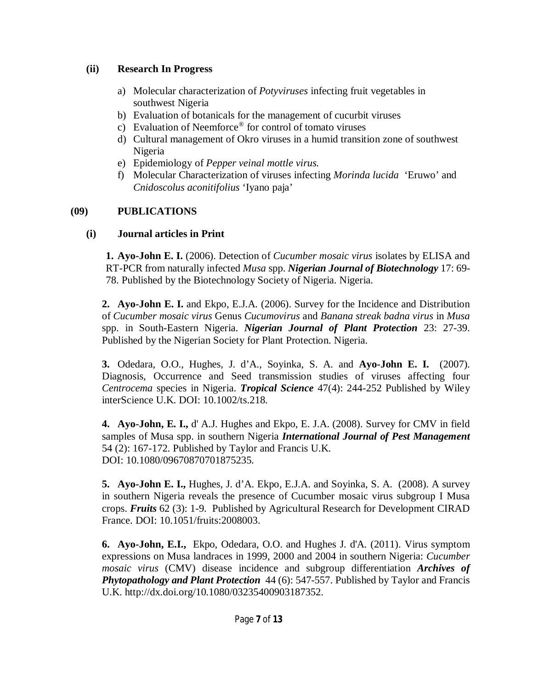#### **(ii) Research In Progress**

- a) Molecular characterization of *Potyviruses* infecting fruit vegetables in southwest Nigeria
- b) Evaluation of botanicals for the management of cucurbit viruses
- c) Evaluation of Neemforce® for control of tomato viruses
- d) Cultural management of Okro viruses in a humid transition zone of southwest Nigeria
- e) Epidemiology of *Pepper veinal mottle virus.*
- f) Molecular Characterization of viruses infecting *Morinda lucida* 'Eruwo' and *Cnidoscolus aconitifolius* 'Iyano paja'

# **(09) PUBLICATIONS**

# **(i) Journal articles in Print**

**1. Ayo-John E. I.** (2006). Detection of *Cucumber mosaic virus* isolates by ELISA and RT-PCR from naturally infected *Musa* spp. *Nigerian Journal of Biotechnology* 17: 69- 78. Published by the Biotechnology Society of Nigeria. Nigeria.

**2. Ayo-John E. I.** and Ekpo, E.J.A. (2006). Survey for the Incidence and Distribution of *Cucumber mosaic virus* Genus *Cucumovirus* and *Banana streak badna virus* in *Musa*  spp. in South-Eastern Nigeria. *Nigerian Journal of Plant Protection* 23: 27-39. Published by the Nigerian Society for Plant Protection. Nigeria.

**3.** Odedara, O.O., Hughes, J. d'A., Soyinka, S. A. and **Ayo-John E. I.** (2007). Diagnosis, Occurrence and Seed transmission studies of viruses affecting four *Centrocema* species in Nigeria. *Tropical Science* 47(4): 244-252 Published by Wiley interScience U.K. DOI: 10.1002/ts.218.

**4. Ayo-John, E. I.,** d' A.J. Hughes and Ekpo, E. J.A. (2008). Survey for CMV in field samples of Musa spp. in southern Nigeria *International Journal of Pest Management* 54 (2): 167-172. Published by Taylor and Francis U.K. DOI: 10.1080/09670870701875235.

**5. Ayo-John E. I.,** Hughes, J. d'A. Ekpo, E.J.A. and Soyinka, S. A. (2008). A survey in southern Nigeria reveals the presence of Cucumber mosaic virus subgroup I Musa crops. *Fruits* 62 (3): 1-9. Published by Agricultural Research for Development CIRAD France. DOI: 10.1051/fruits:2008003.

**6. Ayo-John, E.I.,** Ekpo, Odedara, O.O. and Hughes J. d'A. (2011). Virus symptom expressions on Musa landraces in 1999, 2000 and 2004 in southern Nigeria: *Cucumber mosaic virus* (CMV) disease incidence and subgroup differentiation *Archives of Phytopathology and Plant Protection* 44 (6): 547-557. Published by Taylor and Francis U.K. <http://dx.doi.org/10.1080/03235400903187352.>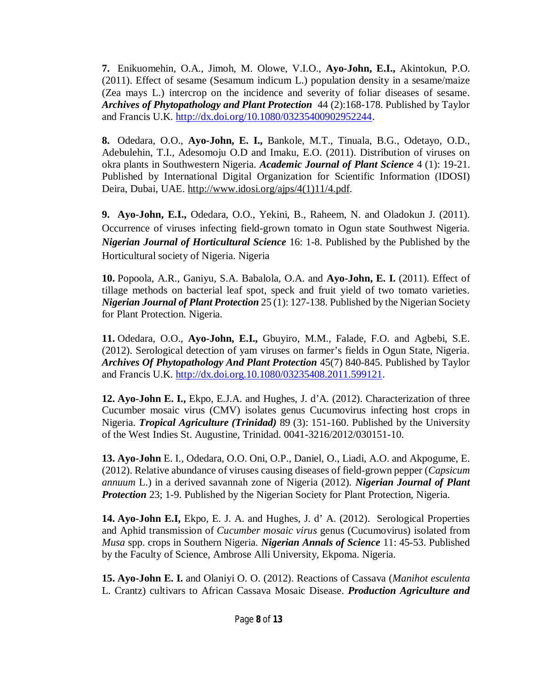**7.** Enikuomehin, O.A., Jimoh, M. Olowe, V.I.O., **Ayo-John, E.I.,** Akintokun, P.O. (2011). Effect of sesame (Sesamum indicum L.) population density in a sesame/maize (Zea mays L.) intercrop on the incidence and severity of foliar diseases of sesame. *Archives of Phytopathology and Plant Protection* 44 (2):168-178. Published by Taylor and Francis U.K. <http://dx.doi.org/10.1080/03235400902952244.>

**8.** Odedara, O.O., **Ayo-John, E. I.,** Bankole, M.T., Tinuala, B.G., Odetayo, O.D., Adebulehin, T.I., Adesomoju O.D and Imaku, E.O. (2011). Distribution of viruses on okra plants in Southwestern Nigeria. *Academic Journal of Plant Science* 4 (1): 19-21. Published by International Digital Organization for Scientific Information (IDOSI) Deira, Dubai, UAE. [http://www.idosi.org/ajps/4\(1\)11/4.pdf.](http://www.idosi.org/ajps/4(1)11/4.pdf.)

**9. Ayo-John, E.I.,** Odedara, O.O., Yekini, B., Raheem, N. and Oladokun J. (2011). Occurrence of viruses infecting field-grown tomato in Ogun state Southwest Nigeria. *Nigerian Journal of Horticultural Science* 16: 1-8. Published by the Published by the Horticultural society of Nigeria. Nigeria

**10.** Popoola, A.R., Ganiyu, S.A. Babalola, O.A. and **Ayo-John, E. I.** (2011). Effect of tillage methods on bacterial leaf spot, speck and fruit yield of two tomato varieties. *Nigerian Journal of Plant Protection* 25 (1): 127-138. Published by the Nigerian Society for Plant Protection. Nigeria.

**11.** Odedara, O.O., **Ayo-John, E.I.,** Gbuyiro, M.M., Falade, F.O. and Agbebi, S.E. (2012). Serological detection of yam viruses on farmer's fields in Ogun State, Nigeria. *Archives Of Phytopathology And Plant Protection* 45(7) 840-845. Published by Taylor and Francis U.K. <http://dx.doi.org.10.1080/03235408.2011.599121.>

**12. Ayo-John E. I.,** Ekpo, E.J.A. and Hughes, J. d'A. (2012). Characterization of three Cucumber mosaic virus (CMV) isolates genus Cucumovirus infecting host crops in Nigeria. *Tropical Agriculture (Trinidad)* 89 (3): 151-160. Published by the University of the West Indies St. Augustine, Trinidad. 0041-3216/2012/030151-10.

**13. Ayo-John** E. I., Odedara, O.O. Oni, O.P., Daniel, O., Liadi, A.O. and Akpogume, E. (2012). Relative abundance of viruses causing diseases of field-grown pepper (*Capsicum annuum* L.) in a derived savannah zone of Nigeria (2012). *Nigerian Journal of Plant Protection* 23; 1-9. Published by the Nigerian Society for Plant Protection, Nigeria.

**14. Ayo-John E.I,** Ekpo, E. J. A. and Hughes, J. d' A. (2012). Serological Properties and Aphid transmission of *Cucumber mosaic virus* genus (Cucumovirus) isolated from *Musa* spp. crops in Southern Nigeria. *Nigerian Annals of Science* 11: 45-53. Published by the Faculty of Science, Ambrose Alli University, Ekpoma. Nigeria.

**15. Ayo-John E. I.** and Olaniyi O. O. (2012). Reactions of Cassava (*Manihot esculenta*  L. Crantz) cultivars to African Cassava Mosaic Disease. *Production Agriculture and*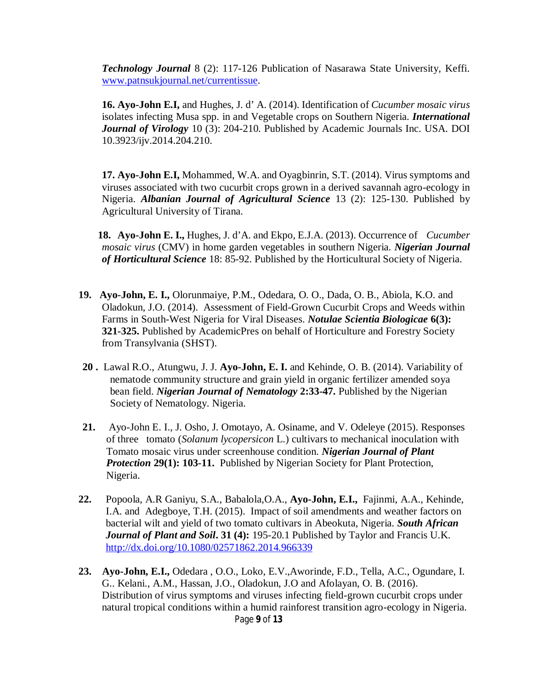*Technology Journal* 8 (2): 117-126 Publication of Nasarawa State University, Keffi. [www.patnsukjournal.net/currentissue.](http://www.patnsukjournal.net/currentissue.)

**16. Ayo-John E.I,** and Hughes, J. d' A. (2014). Identification of *Cucumber mosaic virus* isolates infecting Musa spp. in and Vegetable crops on Southern Nigeria. *International Journal of Virology* 10 (3): 204-210. Published by Academic Journals Inc. USA. DOI 10.3923/ijv.2014.204.210.

**17. Ayo-John E.I,** Mohammed, W.A. and Oyagbinrin, S.T. (2014). Virus symptoms and viruses associated with two cucurbit crops grown in a derived savannah agro-ecology in Nigeria. *Albanian Journal of Agricultural Science* 13 (2): 125-130. Published by Agricultural University of Tirana.

**18. Ayo-John E. I.,** Hughes, J. d'A. and Ekpo, E.J.A. (2013). Occurrence of *Cucumber mosaic virus* (CMV) in home garden vegetables in southern Nigeria. *Nigerian Journal of Horticultural Science* 18: 85-92. Published by the Horticultural Society of Nigeria.

- **19. Ayo-John, E. I.,** Olorunmaiye, P.M., Odedara, O. O., Dada, O. B., Abiola, K.O. and Oladokun, J.O. (2014). Assessment of Field-Grown Cucurbit Crops and Weeds within Farms in South-West Nigeria for Viral Diseases. *Notulae Scientia Biologicae* **6(3): 321-325.** Published by AcademicPres on behalf of Horticulture and Forestry Society from Transylvania (SHST).
- **20 .** Lawal R.O., Atungwu, J. J. **Ayo-John, E. I.** and Kehinde, O. B. (2014). Variability of nematode community structure and grain yield in organic fertilizer amended soya bean field. *Nigerian Journal of Nematology* **2:33-47.** Published by the Nigerian Society of Nematology. Nigeria.
- **21.** Ayo-John E. I., J. Osho, J. Omotayo, A. Osiname, and V. Odeleye (2015). Responses of three tomato (*Solanum lycopersicon* L.) cultivars to mechanical inoculation with Tomato mosaic virus under screenhouse condition. *Nigerian Journal of Plant Protection* **29(1): 103-11.** Published by Nigerian Society for Plant Protection, Nigeria.
- **22.** Popoola, A.R Ganiyu, S.A., Babalola,O.A., **Ayo-John, E.I.,** Fajinmi, A.A., Kehinde, I.A. and Adegboye, T.H. (2015). Impact of soil amendments and weather factors on bacterial wilt and yield of two tomato cultivars in Abeokuta, Nigeria. *South African Journal of Plant and Soil***. 31 (4):** 195-20.1 Published by Taylor and Francis U.K. <http://dx.doi.org/10.1080/02571862.2014.966339>
- Page **9** of **13 23. Ayo-John, E.I.,** Odedara , O.O., Loko, E.V.,Aworinde, F.D., Tella, A.C., Ogundare, I. G.. Kelani., A.M., Hassan, J.O., Oladokun, J.O and Afolayan, O. B. (2016). Distribution of virus symptoms and viruses infecting field-grown cucurbit crops under natural tropical conditions within a humid rainforest transition agro-ecology in Nigeria.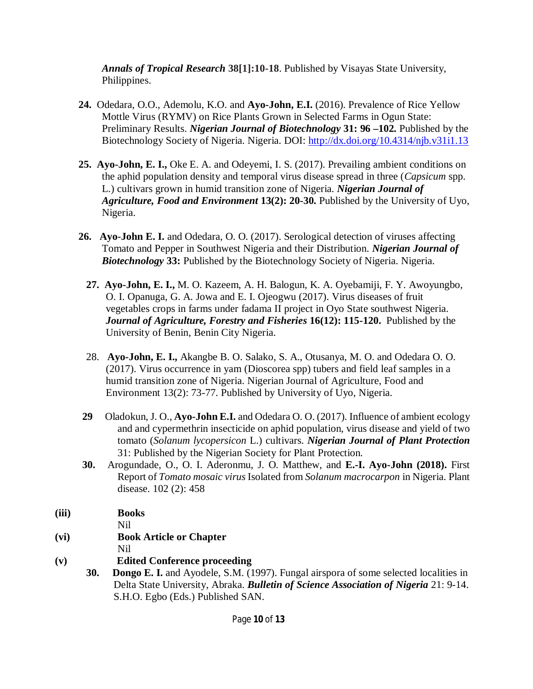*Annals of Tropical Research* **38[1]:10-18**. Published by Visayas State University, Philippines.

- **24.** Odedara, O.O., Ademolu, K.O. and **Ayo-John, E.I.** (2016). Prevalence of Rice Yellow Mottle Virus (RYMV) on Rice Plants Grown in Selected Farms in Ogun State: Preliminary Results. *Nigerian Journal of Biotechnology* **31: 96 –102.** Published by the Biotechnology Society of Nigeria. Nigeria. DOI:<http://dx.doi.org/10.4314/njb.v31i1.13>
- **25. Ayo-John, E. I.,** Oke E. A. and Odeyemi, I. S. (2017). Prevailing ambient conditions on the aphid population density and temporal virus disease spread in three (*Capsicum* spp. L.) cultivars grown in humid transition zone of Nigeria. *Nigerian Journal of Agriculture, Food and Environment* **13(2): 20-30.** Published by the University of Uyo, Nigeria.
- **26. Ayo-John E. I.** and Odedara, O. O. (2017). Serological detection of viruses affecting Tomato and Pepper in Southwest Nigeria and their Distribution. *Nigerian Journal of Biotechnology* **33:** Published by the Biotechnology Society of Nigeria. Nigeria.
	- **27. Ayo-John, E. I.,** M. O. Kazeem, A. H. Balogun, K. A. Oyebamiji, F. Y. Awoyungbo, O. I. Opanuga, G. A. Jowa and E. I. Ojeogwu (2017). Virus diseases of fruit vegetables crops in farms under fadama II project in Oyo State southwest Nigeria. *Journal of Agriculture, Forestry and Fisheries* **16(12): 115-120.** Published by the University of Benin, Benin City Nigeria.
	- 28. **Ayo-John, E. I.,** Akangbe B. O. Salako, S. A., Otusanya, M. O. and Odedara O. O. (2017). Virus occurrence in yam (Dioscorea spp) tubers and field leaf samples in a humid transition zone of Nigeria. Nigerian Journal of Agriculture, Food and Environment 13(2): 73-77. Published by University of Uyo, Nigeria.
- **29** Oladokun, J. O., **Ayo-John E.I.** and Odedara O. O. (2017). Influence of ambient ecology and and cypermethrin insecticide on aphid population, virus disease and yield of two tomato (*Solanum lycopersicon* L.) cultivars. *Nigerian Journal of Plant Protection*  31: Published by the Nigerian Society for Plant Protection.
- **30.** Arogundade, O., O. I. Aderonmu, J. O. Matthew, and **E.-I. Ayo-John (2018).** First Report of *Tomato mosaic virus* Isolated from *Solanum macrocarpon* in Nigeria. Plant disease. 102 (2): 458
- **(iii) Books**
	- Nil
- **(vi) Book Article or Chapter** Nil
	-
- **(v) Edited Conference proceeding**
	- **30. Dongo E. I.** and Ayodele, S.M. (1997). Fungal airspora of some selected localities in Delta State University, Abraka. *Bulletin of Science Association of Nigeria* 21: 9-14. S.H.O. Egbo (Eds.) Published SAN.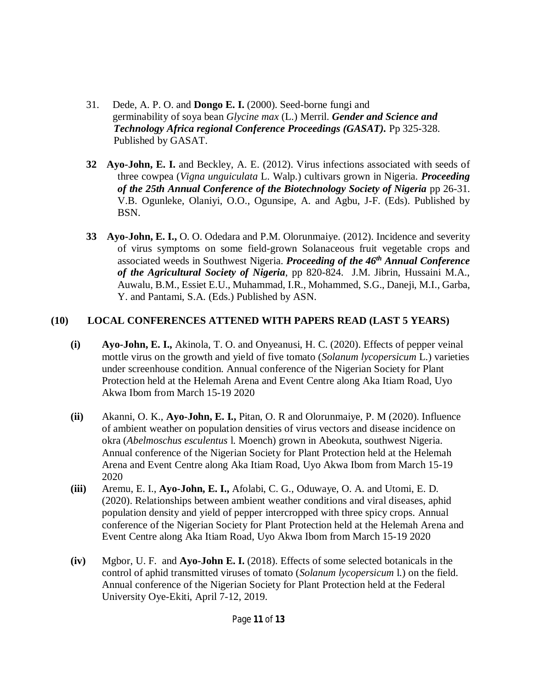- 31. Dede, A. P. O. and **Dongo E. I.** (2000). Seed-borne fungi and germinability of soya bean *Glycine max* (L.) Merril. *Gender and Science and Technology Africa regional Conference Proceedings (GASAT).* Pp 325-328. Published by GASAT.
- **32 Ayo-John, E. I.** and Beckley, A. E. (2012). Virus infections associated with seeds of three cowpea (*Vigna unguiculata* L. Walp.) cultivars grown in Nigeria. *Proceeding of the 25th Annual Conference of the Biotechnology Society of Nigeria* pp 26-31. V.B. Ogunleke, Olaniyi, O.O., Ogunsipe, A. and Agbu, J-F. (Eds). Published by BSN.
- **33 Ayo-John, E. I.,** O. O. Odedara and P.M. Olorunmaiye. (2012). Incidence and severity of virus symptoms on some field-grown Solanaceous fruit vegetable crops and associated weeds in Southwest Nigeria. *Proceeding of the 46th Annual Conference of the Agricultural Society of Nigeria*, pp 820-824. J.M. Jibrin, Hussaini M.A., Auwalu, B.M., Essiet E.U., Muhammad, I.R., Mohammed, S.G., Daneji, M.I., Garba, Y. and Pantami, S.A. (Eds.) Published by ASN.

### **(10) LOCAL CONFERENCES ATTENED WITH PAPERS READ (LAST 5 YEARS)**

- **(i) Ayo-John, E. I.,** Akinola, T. O. and Onyeanusi, H. C. (2020). Effects of pepper veinal mottle virus on the growth and yield of five tomato (*Solanum lycopersicum* L.) varieties under screenhouse condition. Annual conference of the Nigerian Society for Plant Protection held at the Helemah Arena and Event Centre along Aka Itiam Road, Uyo Akwa Ibom from March 15-19 2020
- **(ii)** Akanni, O. K., **Ayo-John, E. I.,** Pitan, O. R and Olorunmaiye, P. M (2020). Influence of ambient weather on population densities of virus vectors and disease incidence on okra (*Abelmoschus esculentus* l. Moench) grown in Abeokuta, southwest Nigeria. Annual conference of the Nigerian Society for Plant Protection held at the Helemah Arena and Event Centre along Aka Itiam Road, Uyo Akwa Ibom from March 15-19 2020
- **(iii)** Aremu, E. I., **Ayo-John, E. I.,** Afolabi, C. G., Oduwaye, O. A. and Utomi, E. D. (2020). Relationships between ambient weather conditions and viral diseases, aphid population density and yield of pepper intercropped with three spicy crops. Annual conference of the Nigerian Society for Plant Protection held at the Helemah Arena and Event Centre along Aka Itiam Road, Uyo Akwa Ibom from March 15-19 2020
- **(iv)** Mgbor, U. F. and **Ayo-John E. I.** (2018). Effects of some selected botanicals in the control of aphid transmitted viruses of tomato (*Solanum lycopersicum* l.) on the field. Annual conference of the Nigerian Society for Plant Protection held at the Federal University Oye-Ekiti, April 7-12, 2019.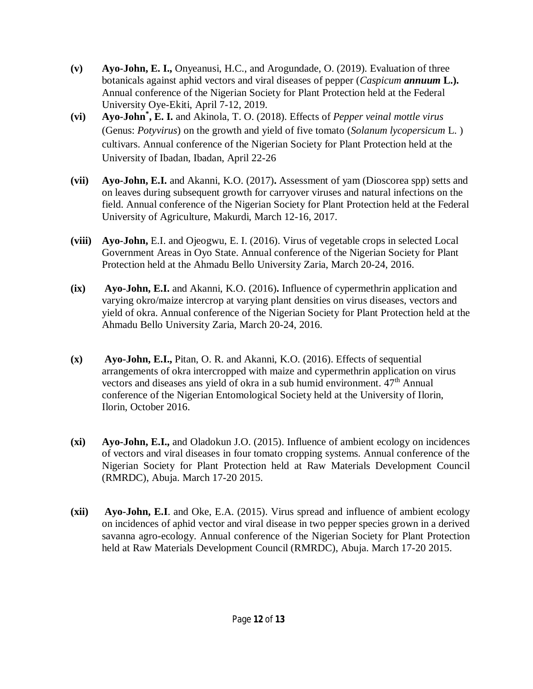- **(v) Ayo-John, E. I.,** Onyeanusi, H.C., and Arogundade, O. (2019). Evaluation of three botanicals against aphid vectors and viral diseases of pepper (*Caspicum annuum* **L.).**  Annual conference of the Nigerian Society for Plant Protection held at the Federal University Oye-Ekiti, April 7-12, 2019.
- **(vi) Ayo-John\* , E. I.** and Akinola, T. O. (2018). Effects of *Pepper veinal mottle virus* (Genus: *Potyvirus*) on the growth and yield of five tomato (*Solanum lycopersicum* L. ) cultivars. Annual conference of the Nigerian Society for Plant Protection held at the University of Ibadan, Ibadan, April 22-26
- **(vii) Ayo-John, E.I.** and Akanni, K.O. (2017)**.** Assessment of yam (Dioscorea spp) setts and on leaves during subsequent growth for carryover viruses and natural infections on the field. Annual conference of the Nigerian Society for Plant Protection held at the Federal University of Agriculture, Makurdi, March 12-16, 2017.
- **(viii) Ayo-John,** E.I. and Ojeogwu, E. I. (2016). Virus of vegetable crops in selected Local Government Areas in Oyo State. Annual conference of the Nigerian Society for Plant Protection held at the Ahmadu Bello University Zaria, March 20-24, 2016.
- **(ix) Ayo-John, E.I.** and Akanni, K.O. (2016)**.** Influence of cypermethrin application and varying okro/maize intercrop at varying plant densities on virus diseases, vectors and yield of okra. Annual conference of the Nigerian Society for Plant Protection held at the Ahmadu Bello University Zaria, March 20-24, 2016.
- **(x) Ayo-John, E.I.,** Pitan, O. R. and Akanni, K.O. (2016). Effects of sequential arrangements of okra intercropped with maize and cypermethrin application on virus vectors and diseases ans yield of okra in a sub humid environment.  $47<sup>th</sup>$  Annual conference of the Nigerian Entomological Society held at the University of Ilorin, Ilorin, October 2016.
- **(xi) Ayo-John, E.I.,** and Oladokun J.O. (2015). Influence of ambient ecology on incidences of vectors and viral diseases in four tomato cropping systems. Annual conference of the Nigerian Society for Plant Protection held at Raw Materials Development Council (RMRDC), Abuja. March 17-20 2015.
- **(xii) Ayo-John, E.I**. and Oke, E.A. (2015). Virus spread and influence of ambient ecology on incidences of aphid vector and viral disease in two pepper species grown in a derived savanna agro-ecology. Annual conference of the Nigerian Society for Plant Protection held at Raw Materials Development Council (RMRDC), Abuja. March 17-20 2015.